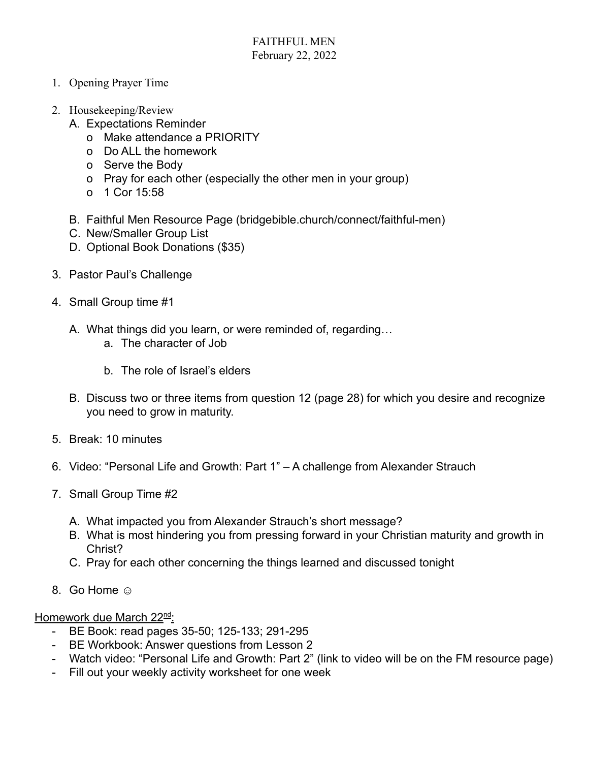- 1. Opening Prayer Time
- 2. Housekeeping/Review
	- A. Expectations Reminder
		- o Make attendance a PRIORITY
		- o Do ALL the homework
		- o Serve the Body
		- o Pray for each other (especially the other men in your group)
		- o 1 Cor 15:58
	- B. Faithful Men Resource Page (bridgebible.church/connect/faithful-men)
	- C. New/Smaller Group List
	- D. Optional Book Donations (\$35)
- 3. Pastor Paul's Challenge
- 4. Small Group time #1
	- A. What things did you learn, or were reminded of, regarding…
		- a. The character of Job
		- b. The role of Israel's elders
	- B. Discuss two or three items from question 12 (page 28) for which you desire and recognize you need to grow in maturity.
- 5. Break: 10 minutes
- 6. Video: "Personal Life and Growth: Part 1" A challenge from Alexander Strauch
- 7. Small Group Time #2
	- A. What impacted you from Alexander Strauch's short message?
	- B. What is most hindering you from pressing forward in your Christian maturity and growth in Christ?
	- C. Pray for each other concerning the things learned and discussed tonight
- 8. Go Home  $\odot$

Homework due March 22<sup>nd</sup>:

- BE Book: read pages 35-50; 125-133; 291-295
- BE Workbook: Answer questions from Lesson 2
- Watch video: "Personal Life and Growth: Part 2" (link to video will be on the FM resource page)
- Fill out your weekly activity worksheet for one week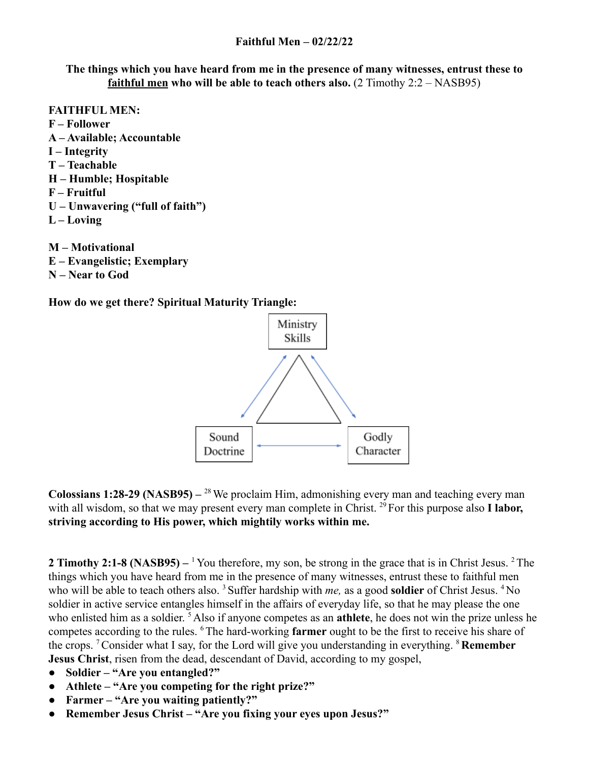**The things which you have heard from me in the presence of many witnesses, entrust these to faithful men who will be able to teach others also.** (2 Timothy 2:2 – NASB95)

- **FAITHFUL MEN: F – Follower A – Available; Accountable I – Integrity T – Teachable H – Humble; Hospitable F – Fruitful U – Unwavering ("full of faith") L – Loving**
- **M Motivational E – Evangelistic; Exemplary N – Near to God**

**How do we get there? Spiritual Maturity Triangle:**



**Colossians 1:28-29 (NASB95) –** <sup>28</sup>We proclaim Him, admonishing every man and teaching every man with all wisdom, so that we may present every man complete in Christ.<sup>29</sup> For this purpose also **I labor**, **striving according to His power, which mightily works within me.**

**2 Timothy 2:1-8 (NASB95)** –<sup>1</sup> You therefore, my son, be strong in the grace that is in Christ Jesus. <sup>2</sup> The things which you have heard from me in the presence of many witnesses, entrust these to faithful men who will be able to teach others also.<sup>3</sup> Suffer hardship with *me*, as a good **soldier** of Christ Jesus.<sup>4</sup> No soldier in active service entangles himself in the affairs of everyday life, so that he may please the one who enlisted him as a soldier. <sup>5</sup> Also if anyone competes as an **athlete**, he does not win the prize unless he competes according to the rules. <sup>6</sup>The hard-working **farmer** ought to be the first to receive his share of the crops. <sup>7</sup>Consider what I say, for the Lord will give you understanding in everything. <sup>8</sup> **Remember Jesus Christ**, risen from the dead, descendant of David, according to my gospel,

- **Soldier "Are you entangled?"**
- **Athlete "Are you competing for the right prize?"**
- **Farmer "Are you waiting patiently?"**
- **● Remember Jesus Christ "Are you fixing your eyes upon Jesus?"**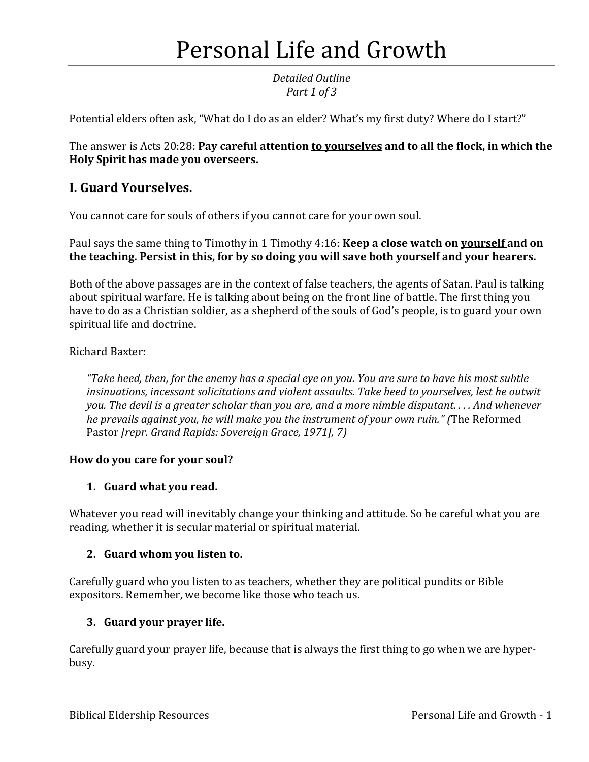# Personal Life and Growth

*Detailed Outline Part 1 of 3*

Potential elders often ask, "What do I do as an elder? What's my first duty? Where do I start?"

The answer is Acts 20:28: **Pay careful attention to yourselves and to all the flock, in which the Holy Spirit has made you overseers.** 

# **I. Guard Yourselves.**

You cannot care for souls of others if you cannot care for your own soul.

Paul says the same thing to Timothy in 1 Timothy 4:16: **Keep a close watch on yourself and on the teaching. Persist in this, for by so doing you will save both yourself and your hearers.**

Both of the above passages are in the context of false teachers, the agents of Satan. Paul is talking about spiritual warfare. He is talking about being on the front line of battle. The first thing you have to do as a Christian soldier, as a shepherd of the souls of God's people, is to guard your own spiritual life and doctrine.

#### Richard Baxter:

*"Take heed, then, for the enemy has a special eye on you. You are sure to have his most subtle insinuations, incessant solicitations and violent assaults. Take heed to yourselves, lest he outwit you. The devil is a greater scholar than you are, and a more nimble disputant. . . . And whenever he prevails against you, he will make you the instrument of your own ruin." (*The Reformed Pastor *[repr. Grand Rapids: Sovereign Grace, 1971], 7)*

#### **How do you care for your soul?**

#### **1. Guard what you read.**

Whatever you read will inevitably change your thinking and attitude. So be careful what you are reading, whether it is secular material or spiritual material.

#### **2. Guard whom you listen to.**

Carefully guard who you listen to as teachers, whether they are political pundits or Bible expositors. Remember, we become like those who teach us.

#### **3. Guard your prayer life.**

Carefully guard your prayer life, because that is always the first thing to go when we are hyperbusy.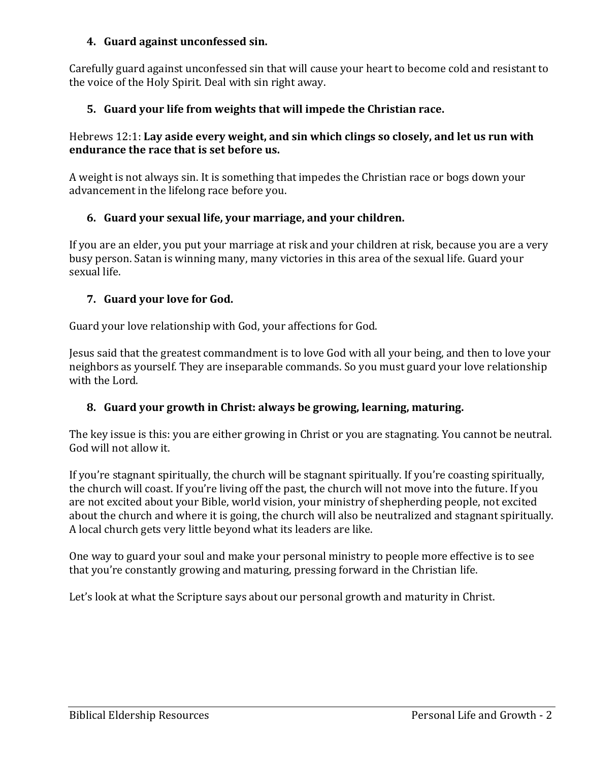#### **4. Guard against unconfessed sin.**

Carefully guard against unconfessed sin that will cause your heart to become cold and resistant to the voice of the Holy Spirit. Deal with sin right away.

## **5. Guard your life from weights that will impede the Christian race.**

#### Hebrews 12:1: **Lay aside every weight, and sin which clings so closely, and let us run with endurance the race that is set before us.**

A weight is not always sin. It is something that impedes the Christian race or bogs down your advancement in the lifelong race before you.

#### **6. Guard your sexual life, your marriage, and your children.**

If you are an elder, you put your marriage at risk and your children at risk, because you are a very busy person. Satan is winning many, many victories in this area of the sexual life. Guard your sexual life.

#### **7. Guard your love for God.**

Guard your love relationship with God, your affections for God.

Jesus said that the greatest commandment is to love God with all your being, and then to love your neighbors as yourself. They are inseparable commands. So you must guard your love relationship with the Lord.

#### **8. Guard your growth in Christ: always be growing, learning, maturing.**

The key issue is this: you are either growing in Christ or you are stagnating. You cannot be neutral. God will not allow it.

If you're stagnant spiritually, the church will be stagnant spiritually. If you're coasting spiritually, the church will coast. If you're living off the past, the church will not move into the future. If you are not excited about your Bible, world vision, your ministry of shepherding people, not excited about the church and where it is going, the church will also be neutralized and stagnant spiritually. A local church gets very little beyond what its leaders are like.

One way to guard your soul and make your personal ministry to people more effective is to see that you're constantly growing and maturing, pressing forward in the Christian life.

Let's look at what the Scripture says about our personal growth and maturity in Christ.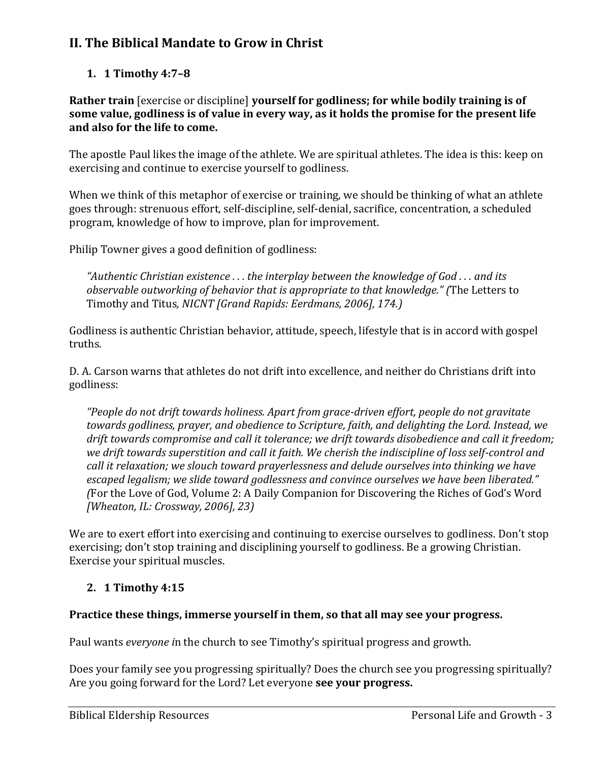# **II. The Biblical Mandate to Grow in Christ**

## **1. 1 Timothy 4:7–8**

**Rather train** [exercise or discipline] **yourself for godliness; for while bodily training is of some value, godliness is of value in every way, as it holds the promise for the present life and also for the life to come.** 

The apostle Paul likes the image of the athlete. We are spiritual athletes. The idea is this: keep on exercising and continue to exercise yourself to godliness.

When we think of this metaphor of exercise or training, we should be thinking of what an athlete goes through: strenuous effort, self-discipline, self-denial, sacrifice, concentration, a scheduled program, knowledge of how to improve, plan for improvement.

Philip Towner gives a good definition of godliness:

*"Authentic Christian existence . . . the interplay between the knowledge of God . . . and its observable outworking of behavior that is appropriate to that knowledge." (*The Letters to Timothy and Titus*, NICNT [Grand Rapids: Eerdmans, 2006], 174.)*

Godliness is authentic Christian behavior, attitude, speech, lifestyle that is in accord with gospel truths.

D. A. Carson warns that athletes do not drift into excellence, and neither do Christians drift into godliness:

*"People do not drift towards holiness. Apart from grace-driven effort, people do not gravitate towards godliness, prayer, and obedience to Scripture, faith, and delighting the Lord. Instead, we drift towards compromise and call it tolerance; we drift towards disobedience and call it freedom; we drift towards superstition and call it faith. We cherish the indiscipline of loss self-control and call it relaxation; we slouch toward prayerlessness and delude ourselves into thinking we have escaped legalism; we slide toward godlessness and convince ourselves we have been liberated." (*For the Love of God, Volume 2: A Daily Companion for Discovering the Riches of God's Word *[Wheaton, IL: Crossway, 2006], 23)*

We are to exert effort into exercising and continuing to exercise ourselves to godliness. Don't stop exercising; don't stop training and disciplining yourself to godliness. Be a growing Christian. Exercise your spiritual muscles.

#### **2. 1 Timothy 4:15**

#### **Practice these things, immerse yourself in them, so that all may see your progress.**

Paul wants *everyone i*n the church to see Timothy's spiritual progress and growth.

Does your family see you progressing spiritually? Does the church see you progressing spiritually? Are you going forward for the Lord? Let everyone **see your progress.**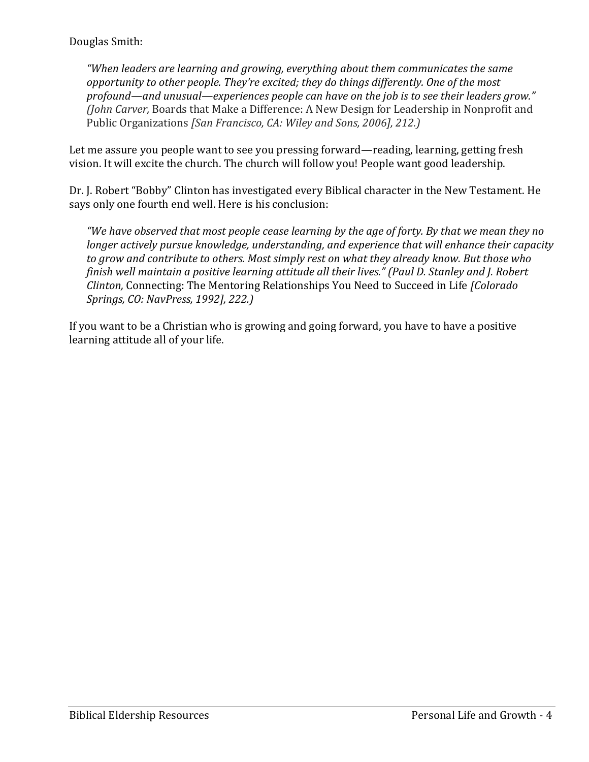*"When leaders are learning and growing, everything about them communicates the same opportunity to other people. They're excited; they do things differently. One of the most profound—and unusual—experiences people can have on the job is to see their leaders grow." (John Carver,* Boards that Make a Difference: A New Design for Leadership in Nonprofit and Public Organizations *[San Francisco, CA: Wiley and Sons, 2006], 212.)*

Let me assure you people want to see you pressing forward—reading, learning, getting fresh vision. It will excite the church. The church will follow you! People want good leadership.

Dr. J. Robert "Bobby" Clinton has investigated every Biblical character in the New Testament. He says only one fourth end well. Here is his conclusion:

*"We have observed that most people cease learning by the age of forty. By that we mean they no longer actively pursue knowledge, understanding, and experience that will enhance their capacity to grow and contribute to others. Most simply rest on what they already know. But those who finish well maintain a positive learning attitude all their lives." (Paul D. Stanley and J. Robert Clinton,* Connecting: The Mentoring Relationships You Need to Succeed in Life *[Colorado Springs, CO: NavPress, 1992], 222.)*

If you want to be a Christian who is growing and going forward, you have to have a positive learning attitude all of your life.